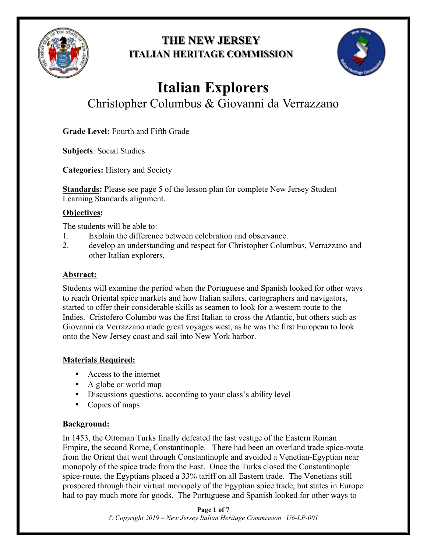

## **THE NEW JERSEY ITALIAN HERITAGE COMMISSION**



# **Italian Explorers**  Christopher Columbus & Giovanni da Verrazzano

**Grade Level:** Fourth and Fifth Grade

**Subjects**: Social Studies

**Categories:** History and Society

**Standards:** Please see page 5 of the lesson plan for complete New Jersey Student Learning Standards alignment.

## **Objectives:**

The students will be able to:

- 1. Explain the difference between celebration and observance.
- 2. develop an understanding and respect for Christopher Columbus, Verrazzano and other Italian explorers.

## **Abstract:**

Students will examine the period when the Portuguese and Spanish looked for other ways to reach Oriental spice markets and how Italian sailors, cartographers and navigators, started to offer their considerable skills as seamen to look for a western route to the Indies. Cristofero Columbo was the first Italian to cross the Atlantic, but others such as Giovanni da Verrazzano made great voyages west, as he was the first European to look onto the New Jersey coast and sail into New York harbor.

## **Materials Required:**

- Access to the internet
- A globe or world map
- Discussions questions, according to your class's ability level
- Copies of maps

## **Background:**

In 1453, the Ottoman Turks finally defeated the last vestige of the Eastern Roman Empire, the second Rome, Constantinople. There had been an overland trade spice-route from the Orient that went through Constantinople and avoided a Venetian-Egyptian near monopoly of the spice trade from the East. Once the Turks closed the Constantinople spice-route, the Egyptians placed a 33% tariff on all Eastern trade. The Venetians still prospered through their virtual monopoly of the Egyptian spice trade, but states in Europe had to pay much more for goods. The Portuguese and Spanish looked for other ways to

> **Page 1 of 7** *© Copyright 2019 – New Jersey Italian Heritage Commission U6-LP-001*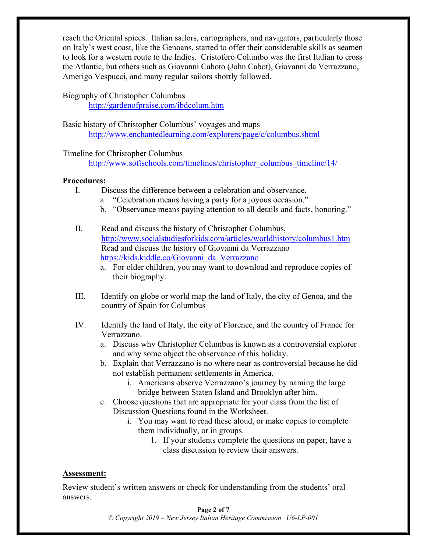reach the Oriental spices. Italian sailors, cartographers, and navigators, particularly those on Italy's west coast, like the Genoans, started to offer their considerable skills as seamen to look for a western route to the Indies. Cristofero Columbo was the first Italian to cross the Atlantic, but others such as Giovanni Caboto (John Cabot), Giovanni da Verrazzano, Amerigo Vespucci, and many regular sailors shortly followed.

#### Biography of Christopher Columbus

http://gardenofpraise.com/ibdcolum.htm

Basic history of Christopher Columbus' voyages and maps http://www.enchantedlearning.com/explorers/page/c/columbus.shtml

#### Timeline for Christopher Columbus

http://www.softschools.com/timelines/christopher\_columbus\_timeline/14/

#### **Procedures:**

- I. Discuss the difference between a celebration and observance.
	- a. "Celebration means having a party for a joyous occasion."
	- b. "Observance means paying attention to all details and facts, honoring."
- II. Read and discuss the history of Christopher Columbus, http://www.socialstudiesforkids.com/articles/worldhistory/columbus1.htm Read and discuss the history of Giovanni da Verrazzano https://kids.kiddle.co/Giovanni\_da\_Verrazzano
	- a. For older children, you may want to download and reproduce copies of their biography.
- III. Identify on globe or world map the land of Italy, the city of Genoa, and the country of Spain for Columbus
- IV. Identify the land of Italy, the city of Florence, and the country of France for Verrazzano.
	- a. Discuss why Christopher Columbus is known as a controversial explorer and why some object the observance of this holiday.
	- b. Explain that Verrazzano is no where near as controversial because he did not establish permanent settlements in America.
		- i. Americans observe Verrazzano's journey by naming the large bridge between Staten Island and Brooklyn after him.
	- c. Choose questions that are appropriate for your class from the list of Discussion Questions found in the Worksheet.
		- i. You may want to read these aloud, or make copies to complete them individually, or in groups.
			- 1. If your students complete the questions on paper, have a class discussion to review their answers.

#### **Assessment:**

Review student's written answers or check for understanding from the students' oral answers.

#### **Page 2 of 7**

*© Copyright 2019 – New Jersey Italian Heritage Commission U6-LP-001*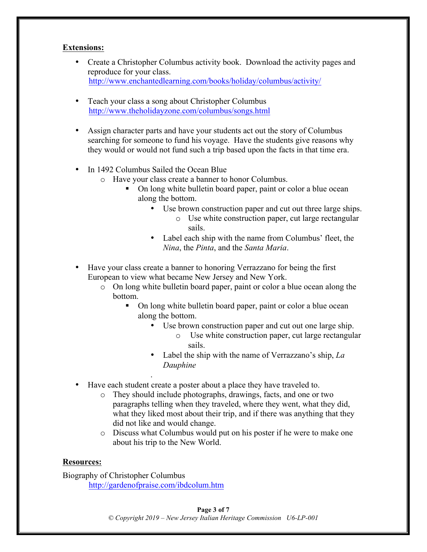#### **Extensions:**

- Create a Christopher Columbus activity book. Download the activity pages and reproduce for your class. http://www.enchantedlearning.com/books/holiday/columbus/activity/
- Teach your class a song about Christopher Columbus http://www.theholidayzone.com/columbus/songs.html
- Assign character parts and have your students act out the story of Columbus searching for someone to fund his voyage. Have the students give reasons why they would or would not fund such a trip based upon the facts in that time era.
- In 1492 Columbus Sailed the Ocean Blue
	- o Have your class create a banner to honor Columbus.
		- On long white bulletin board paper, paint or color a blue ocean along the bottom.
			- Use brown construction paper and cut out three large ships. o Use white construction paper, cut large rectangular
				- sails.
			- Label each ship with the name from Columbus' fleet, the *Nina*, the *Pinta*, and the *Santa Maria*.
- Have your class create a banner to honoring Verrazzano for being the first European to view what became New Jersey and New York.
	- o On long white bulletin board paper, paint or color a blue ocean along the bottom.
		- On long white bulletin board paper, paint or color a blue ocean along the bottom.
			- Use brown construction paper and cut out one large ship.
				- o Use white construction paper, cut large rectangular sails.
			- Label the ship with the name of Verrazzano's ship, *La Dauphine*
- Have each student create a poster about a place they have traveled to.
	- o They should include photographs, drawings, facts, and one or two paragraphs telling when they traveled, where they went, what they did, what they liked most about their trip, and if there was anything that they did not like and would change.
	- o Discuss what Columbus would put on his poster if he were to make one about his trip to the New World.

#### **Resources:**

Biography of Christopher Columbus http://gardenofpraise.com/ibdcolum.htm

.

#### **Page 3 of 7**

*© Copyright 2019 – New Jersey Italian Heritage Commission U6-LP-001*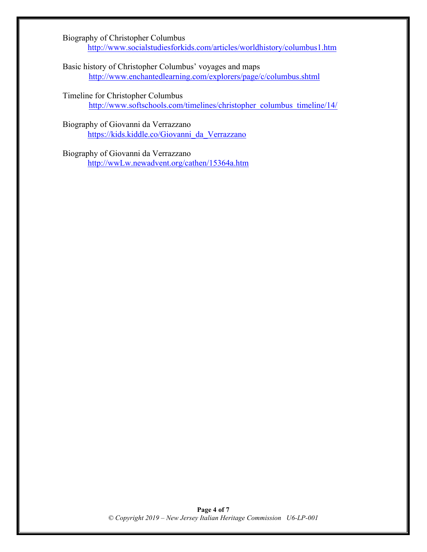Biography of Christopher Columbus http://www.socialstudiesforkids.com/articles/worldhistory/columbus1.htm

Basic history of Christopher Columbus' voyages and maps http://www.enchantedlearning.com/explorers/page/c/columbus.shtml

Timeline for Christopher Columbus http://www.softschools.com/timelines/christopher\_columbus\_timeline/14/

Biography of Giovanni da Verrazzano https://kids.kiddle.co/Giovanni\_da\_Verrazzano

Biography of Giovanni da Verrazzano http://wwLw.newadvent.org/cathen/15364a.htm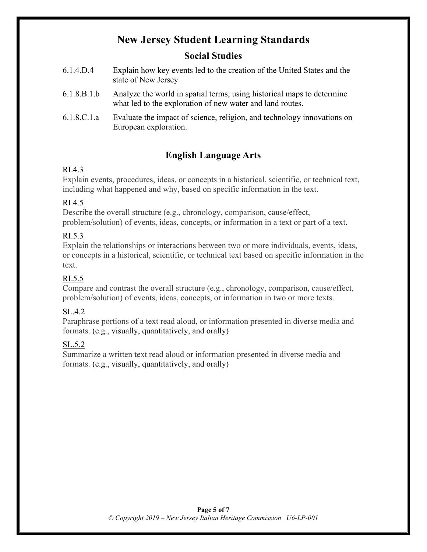## **New Jersey Student Learning Standards**

## **Social Studies**

- 6.1.4.D.4 Explain how key events led to the creation of the United States and the state of New Jersey
- 6.1.8.B.1.b Analyze the world in spatial terms, using historical maps to determine what led to the exploration of new water and land routes.
- 6.1.8.C.1.a Evaluate the impact of science, religion, and technology innovations on European exploration.

## **English Language Arts**

## RI.4.3

Explain events, procedures, ideas, or concepts in a historical, scientific, or technical text, including what happened and why, based on specific information in the text.

## RI.4.5

Describe the overall structure (e.g., chronology, comparison, cause/effect, problem/solution) of events, ideas, concepts, or information in a text or part of a text.

## RI.5.3

Explain the relationships or interactions between two or more individuals, events, ideas, or concepts in a historical, scientific, or technical text based on specific information in the text.

## RI.5.5

Compare and contrast the overall structure (e.g., chronology, comparison, cause/effect, problem/solution) of events, ideas, concepts, or information in two or more texts.

## SL.4.2

Paraphrase portions of a text read aloud, or information presented in diverse media and formats. (e.g., visually, quantitatively, and orally)

## SL.5.2

Summarize a written text read aloud or information presented in diverse media and formats. (e.g., visually, quantitatively, and orally)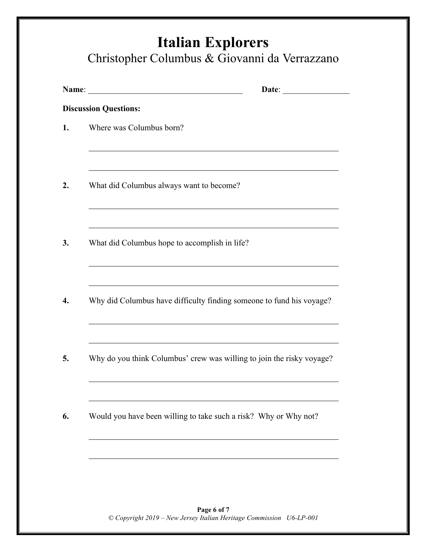|       | <b>Italian Explorers</b>                      |
|-------|-----------------------------------------------|
|       | Christopher Columbus & Giovanni da Verrazzano |
| Name: | Date:                                         |
|       | <b>Discussion Questions:</b>                  |
| 1.    | Where was Columbus born?                      |

- **2.** What did Columbus always want to become?
- **3.** What did Columbus hope to accomplish in life?
- **4.** Why did Columbus have difficulty finding someone to fund his voyage?
- **5.** Why do you think Columbus' crew was willing to join the risky voyage?
- **6.** Would you have been willing to take such a risk? Why or Why not?

**Page 6 of 7** *© Copyright 2019 – New Jersey Italian Heritage Commission U6-LP-001*